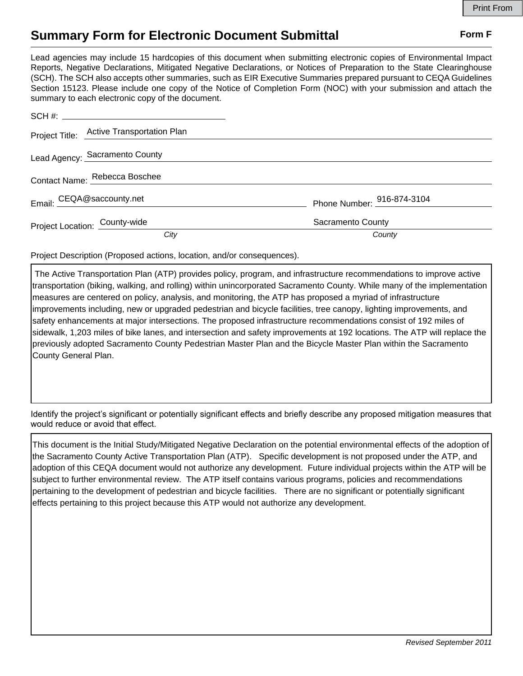## **Summary Form for Electronic Document Submittal Form F Form F**

Lead agencies may include 15 hardcopies of this document when submitting electronic copies of Environmental Impact Reports, Negative Declarations, Mitigated Negative Declarations, or Notices of Preparation to the State Clearinghouse (SCH). The SCH also accepts other summaries, such as EIR Executive Summaries prepared pursuant to CEQA Guidelines Section 15123. Please include one copy of the Notice of Completion Form (NOC) with your submission and attach the summary to each electronic copy of the document.

|                               | Project Title: Active Transportation Plan |                            |
|-------------------------------|-------------------------------------------|----------------------------|
|                               | Lead Agency: Sacramento County            |                            |
|                               | Contact Name: Rebecca Boschee             |                            |
|                               | Email: CEQA@saccounty.net                 | Phone Number: 916-874-3104 |
| Project Location: County-wide |                                           | Sacramento County          |
|                               | City                                      | County                     |

Project Description (Proposed actions, location, and/or consequences).

 The Active Transportation Plan (ATP) provides policy, program, and infrastructure recommendations to improve active transportation (biking, walking, and rolling) within unincorporated Sacramento County. While many of the implementation measures are centered on policy, analysis, and monitoring, the ATP has proposed a myriad of infrastructure improvements including, new or upgraded pedestrian and bicycle facilities, tree canopy, lighting improvements, and safety enhancements at major intersections. The proposed infrastructure recommendations consist of 192 miles of sidewalk, 1,203 miles of bike lanes, and intersection and safety improvements at 192 locations. The ATP will replace the previously adopted Sacramento County Pedestrian Master Plan and the Bicycle Master Plan within the Sacramento County General Plan.

Identify the project's significant or potentially significant effects and briefly describe any proposed mitigation measures that would reduce or avoid that effect.

This document is the Initial Study/Mitigated Negative Declaration on the potential environmental effects of the adoption of the Sacramento County Active Transportation Plan (ATP). Specific development is not proposed under the ATP, and adoption of this CEQA document would not authorize any development. Future individual projects within the ATP will be subject to further environmental review. The ATP itself contains various programs, policies and recommendations pertaining to the development of pedestrian and bicycle facilities. There are no significant or potentially significant effects pertaining to this project because this ATP would not authorize any development.